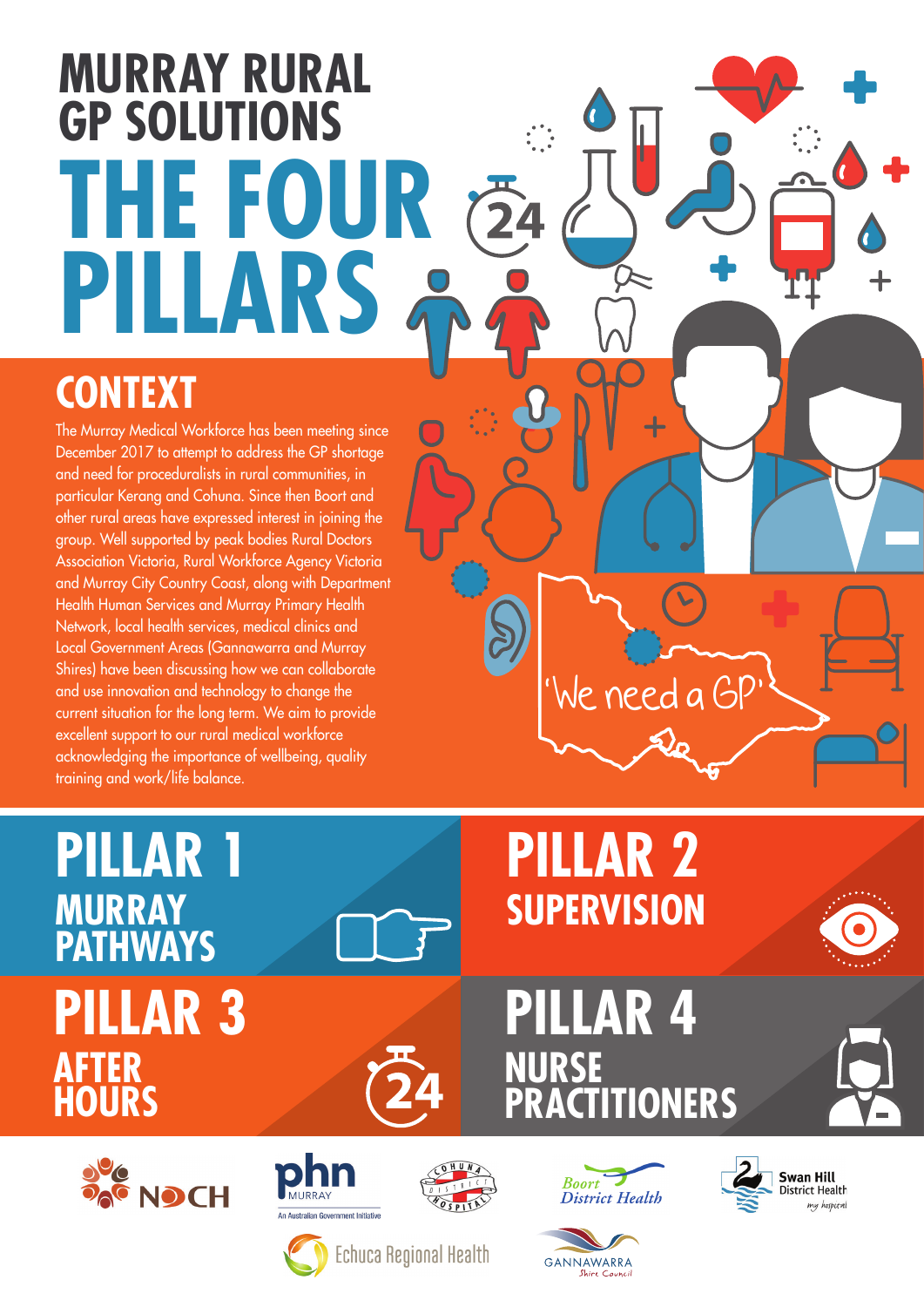# **MURRAY RURAL GP SOLUTIONS THE FOUR**  $\overline{24}$ **PILLARS**

#### **CONTEXT**

The Murray Medical Workforce has been meeting since December 2017 to attempt to address the GP shortage and need for proceduralists in rural communities, in particular Kerang and Cohuna. Since then Boort and other rural areas have expressed interest in joining the group. Well supported by peak bodies Rural Doctors Association Victoria, Rural Workforce Agency Victoria and Murray City Country Coast, along with Department Health Human Services and Murray Primary Health Network, local health services, medical clinics and Local Government Areas (Gannawarra and Murray Shires) have been discussing how we can collaborate and use innovation and technology to change the current situation for the long term. We aim to provide excellent support to our rural medical workforce acknowledging the importance of wellbeing, quality training and work/life balance.

### **PILLAR 1 MURRAY PATHWAYS PILLAR 3 AFTER HOURS**



## **PILLAR 2 SUPERVISION**

'We need a GP'

### **PILLAR 4 NURSE PRACTITIONERS**









Shire Counci